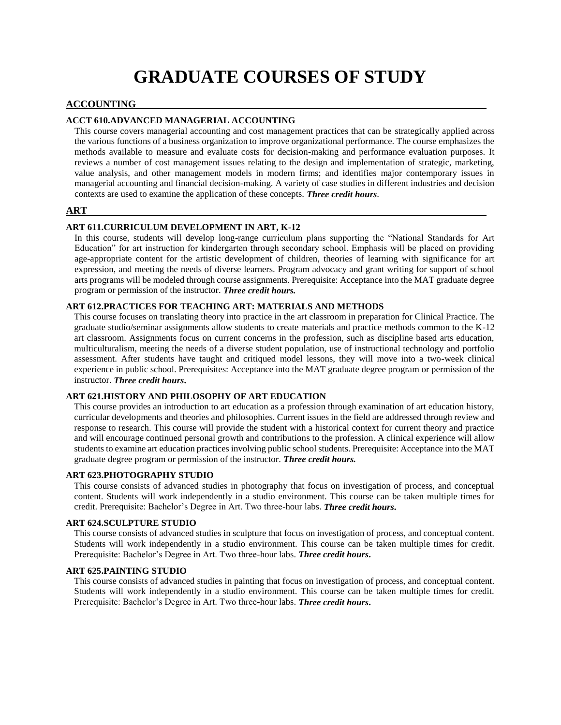# **GRADUATE COURSES OF STUDY**

# **ACCOUNTING**

# **ACCT 610.ADVANCED MANAGERIAL ACCOUNTING**

This course covers managerial accounting and cost management practices that can be strategically applied across the various functions of a business organization to improve organizational performance. The course emphasizes the methods available to measure and evaluate costs for decision-making and performance evaluation purposes. It reviews a number of cost management issues relating to the design and implementation of strategic, marketing, value analysis, and other management models in modern firms; and identifies major contemporary issues in managerial accounting and financial decision-making. A variety of case studies in different industries and decision contexts are used to examine the application of these concepts. *Three credit hours*.

#### **ART**

#### **ART 611.CURRICULUM DEVELOPMENT IN ART, K-12**

In this course, students will develop long-range curriculum plans supporting the "National Standards for Art Education" for art instruction for kindergarten through secondary school. Emphasis will be placed on providing age-appropriate content for the artistic development of children, theories of learning with significance for art expression, and meeting the needs of diverse learners. Program advocacy and grant writing for support of school arts programs will be modeled through course assignments. Prerequisite: Acceptance into the MAT graduate degree program or permission of the instructor. *Three credit hours.*

#### **ART 612.PRACTICES FOR TEACHING ART: MATERIALS AND METHODS**

This course focuses on translating theory into practice in the art classroom in preparation for Clinical Practice. The graduate studio/seminar assignments allow students to create materials and practice methods common to the K-12 art classroom. Assignments focus on current concerns in the profession, such as discipline based arts education, multiculturalism, meeting the needs of a diverse student population, use of instructional technology and portfolio assessment. After students have taught and critiqued model lessons, they will move into a two-week clinical experience in public school. Prerequisites: Acceptance into the MAT graduate degree program or permission of the instructor. *Three credit hours***.**

#### **ART 621.HISTORY AND PHILOSOPHY OF ART EDUCATION**

This course provides an introduction to art education as a profession through examination of art education history, curricular developments and theories and philosophies. Current issues in the field are addressed through review and response to research. This course will provide the student with a historical context for current theory and practice and will encourage continued personal growth and contributions to the profession. A clinical experience will allow students to examine art education practices involving public school students. Prerequisite: Acceptance into the MAT graduate degree program or permission of the instructor. *Three credit hours.*

#### **ART 623.PHOTOGRAPHY STUDIO**

This course consists of advanced studies in photography that focus on investigation of process, and conceptual content. Students will work independently in a studio environment. This course can be taken multiple times for credit. Prerequisite: Bachelor's Degree in Art. Two three-hour labs. *Three credit hours***.**

#### **ART 624.SCULPTURE STUDIO**

This course consists of advanced studies in sculpture that focus on investigation of process, and conceptual content. Students will work independently in a studio environment. This course can be taken multiple times for credit. Prerequisite: Bachelor's Degree in Art. Two three-hour labs. *Three credit hours***.**

#### **ART 625.PAINTING STUDIO**

This course consists of advanced studies in painting that focus on investigation of process, and conceptual content. Students will work independently in a studio environment. This course can be taken multiple times for credit. Prerequisite: Bachelor's Degree in Art. Two three-hour labs. *Three credit hours***.**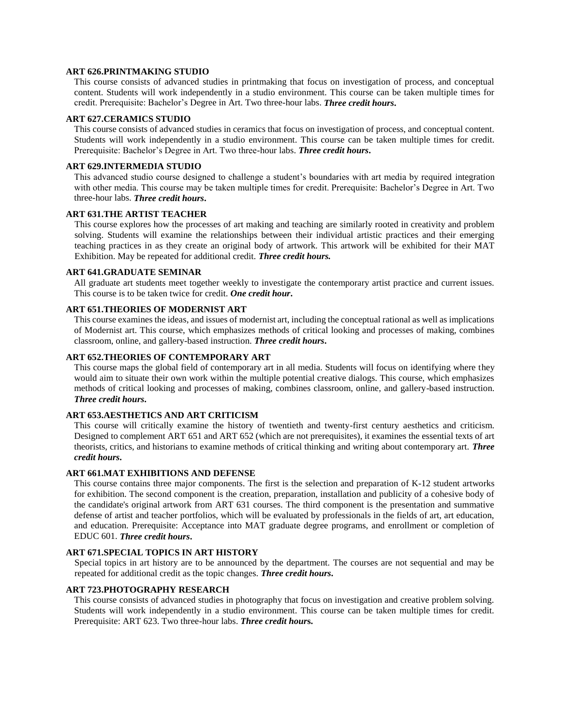## **ART 626.PRINTMAKING STUDIO**

This course consists of advanced studies in printmaking that focus on investigation of process, and conceptual content. Students will work independently in a studio environment. This course can be taken multiple times for credit. Prerequisite: Bachelor's Degree in Art. Two three-hour labs. *Three credit hours***.**

#### **ART 627.CERAMICS STUDIO**

This course consists of advanced studies in ceramics that focus on investigation of process, and conceptual content. Students will work independently in a studio environment. This course can be taken multiple times for credit. Prerequisite: Bachelor's Degree in Art. Two three-hour labs. *Three credit hours***.**

#### **ART 629.INTERMEDIA STUDIO**

This advanced studio course designed to challenge a student's boundaries with art media by required integration with other media. This course may be taken multiple times for credit. Prerequisite: Bachelor's Degree in Art. Two three-hour labs. *Three credit hours***.**

#### **ART 631.THE ARTIST TEACHER**

This course explores how the processes of art making and teaching are similarly rooted in creativity and problem solving. Students will examine the relationships between their individual artistic practices and their emerging teaching practices in as they create an original body of artwork. This artwork will be exhibited for their MAT Exhibition. May be repeated for additional credit. *Three credit hours.*

#### **ART 641.GRADUATE SEMINAR**

All graduate art students meet together weekly to investigate the contemporary artist practice and current issues. This course is to be taken twice for credit. *One credit hour***.**

#### **ART 651.THEORIES OF MODERNIST ART**

This course examines the ideas, and issues of modernist art, including the conceptual rational as well as implications of Modernist art. This course, which emphasizes methods of critical looking and processes of making, combines classroom, online, and gallery-based instruction. *Three credit hours***.**

# **ART 652.THEORIES OF CONTEMPORARY ART**

This course maps the global field of contemporary art in all media. Students will focus on identifying where they would aim to situate their own work within the multiple potential creative dialogs. This course, which emphasizes methods of critical looking and processes of making, combines classroom, online, and gallery-based instruction. *Three credit hours***.**

## **ART 653.AESTHETICS AND ART CRITICISM**

This course will critically examine the history of twentieth and twenty-first century aesthetics and criticism. Designed to complement ART 651 and ART 652 (which are not prerequisites), it examines the essential texts of art theorists, critics, and historians to examine methods of critical thinking and writing about contemporary art. *Three credit hours***.**

## **ART 661.MAT EXHIBITIONS AND DEFENSE**

This course contains three major components. The first is the selection and preparation of K-12 student artworks for exhibition. The second component is the creation, preparation, installation and publicity of a cohesive body of the candidate's original artwork from ART 631 courses. The third component is the presentation and summative defense of artist and teacher portfolios, which will be evaluated by professionals in the fields of art, art education, and education. Prerequisite: Acceptance into MAT graduate degree programs, and enrollment or completion of EDUC 601. *Three credit hours***.**

#### **ART 671.SPECIAL TOPICS IN ART HISTORY**

Special topics in art history are to be announced by the department. The courses are not sequential and may be repeated for additional credit as the topic changes. *Three credit hours***.**

#### **ART 723.PHOTOGRAPHY RESEARCH**

This course consists of advanced studies in photography that focus on investigation and creative problem solving. Students will work independently in a studio environment. This course can be taken multiple times for credit. Prerequisite: ART 623. Two three-hour labs. *Three credit hour***s.**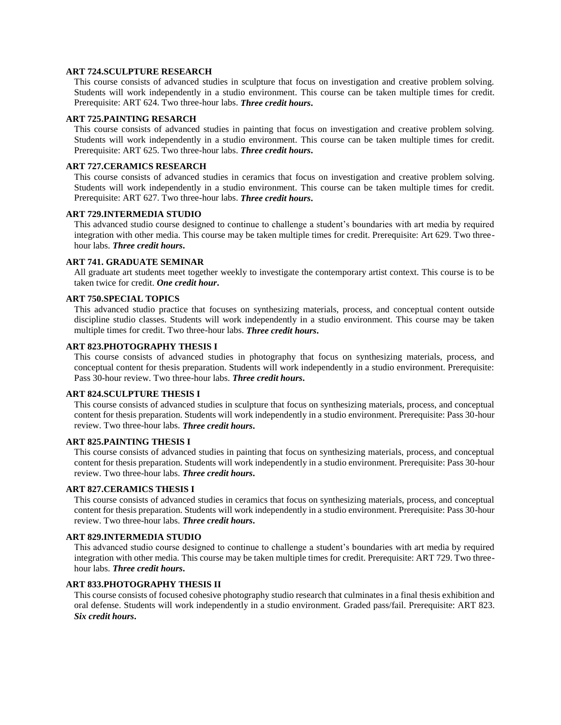#### **ART 724.SCULPTURE RESEARCH**

This course consists of advanced studies in sculpture that focus on investigation and creative problem solving. Students will work independently in a studio environment. This course can be taken multiple times for credit. Prerequisite: ART 624. Two three-hour labs. *Three credit hours***.**

#### **ART 725.PAINTING RESARCH**

This course consists of advanced studies in painting that focus on investigation and creative problem solving. Students will work independently in a studio environment. This course can be taken multiple times for credit. Prerequisite: ART 625. Two three-hour labs. *Three credit hours***.**

#### **ART 727.CERAMICS RESEARCH**

This course consists of advanced studies in ceramics that focus on investigation and creative problem solving. Students will work independently in a studio environment. This course can be taken multiple times for credit. Prerequisite: ART 627. Two three-hour labs. *Three credit hours***.**

#### **ART 729.INTERMEDIA STUDIO**

This advanced studio course designed to continue to challenge a student's boundaries with art media by required integration with other media. This course may be taken multiple times for credit. Prerequisite: Art 629. Two threehour labs. *Three credit hours***.**

#### **ART 741. GRADUATE SEMINAR**

All graduate art students meet together weekly to investigate the contemporary artist context. This course is to be taken twice for credit. *One credit hour***.**

# **ART 750.SPECIAL TOPICS**

This advanced studio practice that focuses on synthesizing materials, process, and conceptual content outside discipline studio classes. Students will work independently in a studio environment. This course may be taken multiple times for credit. Two three-hour labs. *Three credit hours***.**

#### **ART 823.PHOTOGRAPHY THESIS I**

This course consists of advanced studies in photography that focus on synthesizing materials, process, and conceptual content for thesis preparation. Students will work independently in a studio environment. Prerequisite: Pass 30-hour review. Two three-hour labs. *Three credit hours***.**

#### **ART 824.SCULPTURE THESIS I**

This course consists of advanced studies in sculpture that focus on synthesizing materials, process, and conceptual content for thesis preparation. Students will work independently in a studio environment. Prerequisite: Pass 30-hour review. Two three-hour labs. *Three credit hours***.**

#### **ART 825.PAINTING THESIS I**

This course consists of advanced studies in painting that focus on synthesizing materials, process, and conceptual content for thesis preparation. Students will work independently in a studio environment. Prerequisite: Pass 30-hour review. Two three-hour labs. *Three credit hours***.**

## **ART 827.CERAMICS THESIS I**

This course consists of advanced studies in ceramics that focus on synthesizing materials, process, and conceptual content for thesis preparation. Students will work independently in a studio environment. Prerequisite: Pass 30-hour review. Two three-hour labs. *Three credit hours***.**

#### **ART 829.INTERMEDIA STUDIO**

This advanced studio course designed to continue to challenge a student's boundaries with art media by required integration with other media. This course may be taken multiple times for credit. Prerequisite: ART 729. Two threehour labs. *Three credit hours***.**

## **ART 833.PHOTOGRAPHY THESIS II**

This course consists of focused cohesive photography studio research that culminates in a final thesis exhibition and oral defense. Students will work independently in a studio environment. Graded pass/fail. Prerequisite: ART 823. *Six credit hours***.**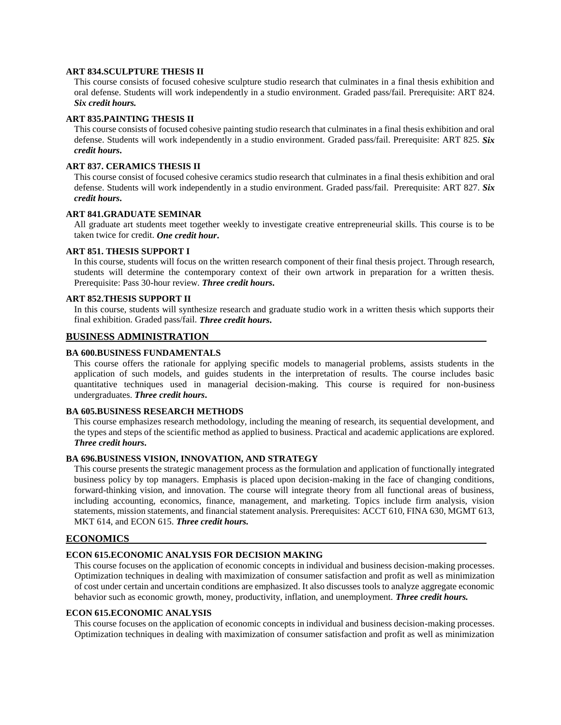#### **ART 834.SCULPTURE THESIS II**

This course consists of focused cohesive sculpture studio research that culminates in a final thesis exhibition and oral defense. Students will work independently in a studio environment. Graded pass/fail. Prerequisite: ART 824. *Six credit hours.*

#### **ART 835.PAINTING THESIS II**

This course consists of focused cohesive painting studio research that culminates in a final thesis exhibition and oral defense. Students will work independently in a studio environment. Graded pass/fail. Prerequisite: ART 825. *Six credit hours***.**

#### **ART 837. CERAMICS THESIS II**

This course consist of focused cohesive ceramics studio research that culminates in a final thesis exhibition and oral defense. Students will work independently in a studio environment. Graded pass/fail. Prerequisite: ART 827. *Six credit hours***.**

#### **ART 841.GRADUATE SEMINAR**

All graduate art students meet together weekly to investigate creative entrepreneurial skills. This course is to be taken twice for credit. *One credit hour***.**

#### **ART 851. THESIS SUPPORT I**

In this course, students will focus on the written research component of their final thesis project. Through research, students will determine the contemporary context of their own artwork in preparation for a written thesis. Prerequisite: Pass 30-hour review. *Three credit hours***.**

#### **ART 852.THESIS SUPPORT II**

In this course, students will synthesize research and graduate studio work in a written thesis which supports their final exhibition. Graded pass/fail. *Three credit hours***.**

# **BUSINESS ADMINISTRATION**

#### **BA 600.BUSINESS FUNDAMENTALS**

This course offers the rationale for applying specific models to managerial problems, assists students in the application of such models, and guides students in the interpretation of results. The course includes basic quantitative techniques used in managerial decision-making. This course is required for non-business undergraduates. *Three credit hours***.**

#### **BA 605.BUSINESS RESEARCH METHODS**

This course emphasizes research methodology, including the meaning of research, its sequential development, and the types and steps of the scientific method as applied to business. Practical and academic applications are explored. *Three credit hours***.**

## **BA 696.BUSINESS VISION, INNOVATION, AND STRATEGY**

This course presents the strategic management process as the formulation and application of functionally integrated business policy by top managers. Emphasis is placed upon decision-making in the face of changing conditions, forward-thinking vision, and innovation. The course will integrate theory from all functional areas of business, including accounting, economics, finance, management, and marketing. Topics include firm analysis, vision statements, mission statements, and financial statement analysis. Prerequisites: ACCT 610, FINA 630, MGMT 613, MKT 614, and ECON 615. *Three credit hours.*

#### **ECONOMICS**

#### **ECON 615.ECONOMIC ANALYSIS FOR DECISION MAKING**

This course focuses on the application of economic concepts in individual and business decision-making processes. Optimization techniques in dealing with maximization of consumer satisfaction and profit as well as minimization of cost under certain and uncertain conditions are emphasized. It also discusses tools to analyze aggregate economic behavior such as economic growth, money, productivity, inflation, and unemployment. *Three credit hours.*

#### **ECON 615.ECONOMIC ANALYSIS**

This course focuses on the application of economic concepts in individual and business decision-making processes. Optimization techniques in dealing with maximization of consumer satisfaction and profit as well as minimization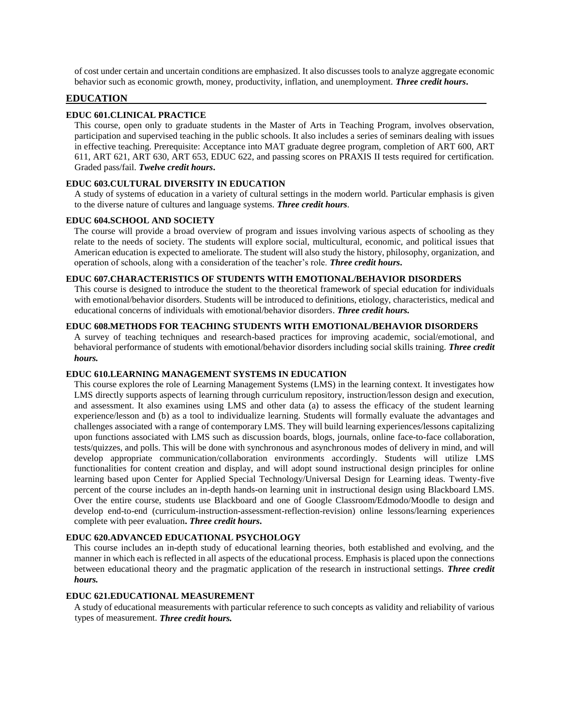of cost under certain and uncertain conditions are emphasized. It also discusses tools to analyze aggregate economic behavior such as economic growth, money, productivity, inflation, and unemployment. *Three credit hours***.**

# **EDUCATION**

## **EDUC 601.CLINICAL PRACTICE**

This course, open only to graduate students in the Master of Arts in Teaching Program, involves observation, participation and supervised teaching in the public schools. It also includes a series of seminars dealing with issues in effective teaching. Prerequisite: Acceptance into MAT graduate degree program, completion of ART 600, ART 611, ART 621, ART 630, ART 653, EDUC 622, and passing scores on PRAXIS II tests required for certification. Graded pass/fail. *Twelve credit hours***.**

#### **EDUC 603.CULTURAL DIVERSITY IN EDUCATION**

A study of systems of education in a variety of cultural settings in the modern world. Particular emphasis is given to the diverse nature of cultures and language systems. *Three credit hours*.

#### **EDUC 604.SCHOOL AND SOCIETY**

The course will provide a broad overview of program and issues involving various aspects of schooling as they relate to the needs of society. The students will explore social, multicultural, economic, and political issues that American education is expected to ameliorate. The student will also study the history, philosophy, organization, and operation of schools, along with a consideration of the teacher's role. *Three credit hours***.**

#### **EDUC 607.CHARACTERISTICS OF STUDENTS WITH EMOTIONAL/BEHAVIOR DISORDERS**

This course is designed to introduce the student to the theoretical framework of special education for individuals with emotional/behavior disorders. Students will be introduced to definitions, etiology, characteristics, medical and educational concerns of individuals with emotional/behavior disorders. *Three credit hours.*

#### **EDUC 608.METHODS FOR TEACHING STUDENTS WITH EMOTIONAL/BEHAVIOR DISORDERS**

A survey of teaching techniques and research-based practices for improving academic, social/emotional, and behavioral performance of students with emotional/behavior disorders including social skills training. *Three credit hours.*

#### **EDUC 610.LEARNING MANAGEMENT SYSTEMS IN EDUCATION**

This course explores the role of Learning Management Systems (LMS) in the learning context. It investigates how LMS directly supports aspects of learning through curriculum repository, instruction/lesson design and execution, and assessment. It also examines using LMS and other data (a) to assess the efficacy of the student learning experience/lesson and (b) as a tool to individualize learning. Students will formally evaluate the advantages and challenges associated with a range of contemporary LMS. They will build learning experiences/lessons capitalizing upon functions associated with LMS such as discussion boards, blogs, journals, online face-to-face collaboration, tests/quizzes, and polls. This will be done with synchronous and asynchronous modes of delivery in mind, and will develop appropriate communication/collaboration environments accordingly. Students will utilize LMS functionalities for content creation and display, and will adopt sound instructional design principles for online learning based upon Center for Applied Special Technology/Universal Design for Learning ideas. Twenty-five percent of the course includes an in-depth hands-on learning unit in instructional design using Blackboard LMS. Over the entire course, students use Blackboard and one of Google Classroom/Edmodo/Moodle to design and develop end-to-end (curriculum-instruction-assessment-reflection-revision) online lessons/learning experiences complete with peer evaluation**.** *Three credit hours***.**

## **EDUC 620.ADVANCED EDUCATIONAL PSYCHOLOGY**

This course includes an in-depth study of educational learning theories, both established and evolving, and the manner in which each is reflected in all aspects of the educational process. Emphasis is placed upon the connections between educational theory and the pragmatic application of the research in instructional settings. *Three credit hours.*

#### **EDUC 621.EDUCATIONAL MEASUREMENT**

A study of educational measurements with particular reference to such concepts as validity and reliability of various types of measurement. *Three credit hours.*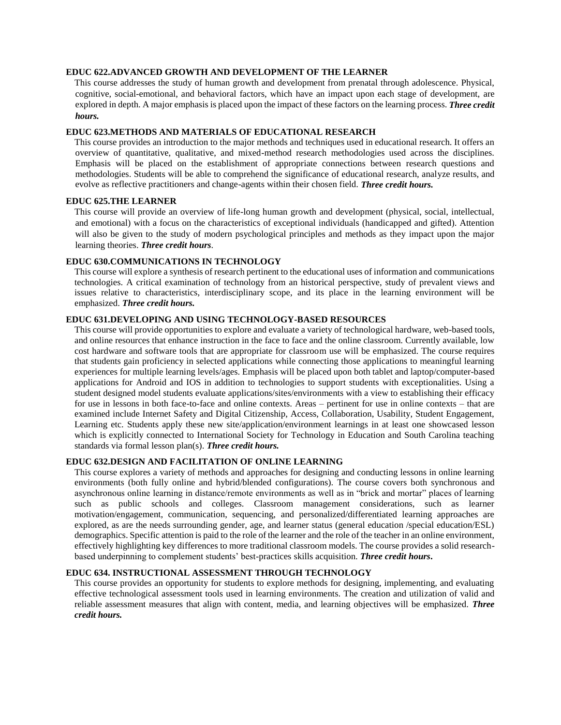#### **EDUC 622.ADVANCED GROWTH AND DEVELOPMENT OF THE LEARNER**

This course addresses the study of human growth and development from prenatal through adolescence. Physical, cognitive, social-emotional, and behavioral factors, which have an impact upon each stage of development, are explored in depth. A major emphasis is placed upon the impact of these factors on the learning process. *Three credit hours.*

## **EDUC 623.METHODS AND MATERIALS OF EDUCATIONAL RESEARCH**

This course provides an introduction to the major methods and techniques used in educational research. It offers an overview of quantitative, qualitative, and mixed-method research methodologies used across the disciplines. Emphasis will be placed on the establishment of appropriate connections between research questions and methodologies. Students will be able to comprehend the significance of educational research, analyze results, and evolve as reflective practitioners and change-agents within their chosen field. *Three credit hours.*

## **EDUC 625.THE LEARNER**

This course will provide an overview of life-long human growth and development (physical, social, intellectual, and emotional) with a focus on the characteristics of exceptional individuals (handicapped and gifted). Attention will also be given to the study of modern psychological principles and methods as they impact upon the major learning theories. *Three credit hours*.

#### **EDUC 630.COMMUNICATIONS IN TECHNOLOGY**

This course will explore a synthesis of research pertinent to the educational uses of information and communications technologies. A critical examination of technology from an historical perspective, study of prevalent views and issues relative to characteristics, interdisciplinary scope, and its place in the learning environment will be emphasized. *Three credit hours.*

## **EDUC 631.DEVELOPING AND USING TECHNOLOGY-BASED RESOURCES**

This course will provide opportunities to explore and evaluate a variety of technological hardware, web-based tools, and online resources that enhance instruction in the face to face and the online classroom. Currently available, low cost hardware and software tools that are appropriate for classroom use will be emphasized. The course requires that students gain proficiency in selected applications while connecting those applications to meaningful learning experiences for multiple learning levels/ages. Emphasis will be placed upon both tablet and laptop/computer-based applications for Android and IOS in addition to technologies to support students with exceptionalities. Using a student designed model students evaluate applications/sites/environments with a view to establishing their efficacy for use in lessons in both face-to-face and online contexts. Areas – pertinent for use in online contexts – that are examined include Internet Safety and Digital Citizenship, Access, Collaboration, Usability, Student Engagement, Learning etc. Students apply these new site/application/environment learnings in at least one showcased lesson which is explicitly connected to International Society for Technology in Education and South Carolina teaching standards via formal lesson plan(s). *Three credit hours.*

# **EDUC 632.DESIGN AND FACILITATION OF ONLINE LEARNING**

This course explores a variety of methods and approaches for designing and conducting lessons in online learning environments (both fully online and hybrid/blended configurations). The course covers both synchronous and asynchronous online learning in distance/remote environments as well as in "brick and mortar" places of learning such as public schools and colleges. Classroom management considerations, such as learner motivation/engagement, communication, sequencing, and personalized/differentiated learning approaches are explored, as are the needs surrounding gender, age, and learner status (general education /special education/ESL) demographics. Specific attention is paid to the role of the learner and the role of the teacher in an online environment, effectively highlighting key differences to more traditional classroom models. The course provides a solid researchbased underpinning to complement students' best-practices skills acquisition. *Three credit hours***.**

#### **EDUC 634. INSTRUCTIONAL ASSESSMENT THROUGH TECHNOLOGY**

This course provides an opportunity for students to explore methods for designing, implementing, and evaluating effective technological assessment tools used in learning environments. The creation and utilization of valid and reliable assessment measures that align with content, media, and learning objectives will be emphasized. *Three credit hours.*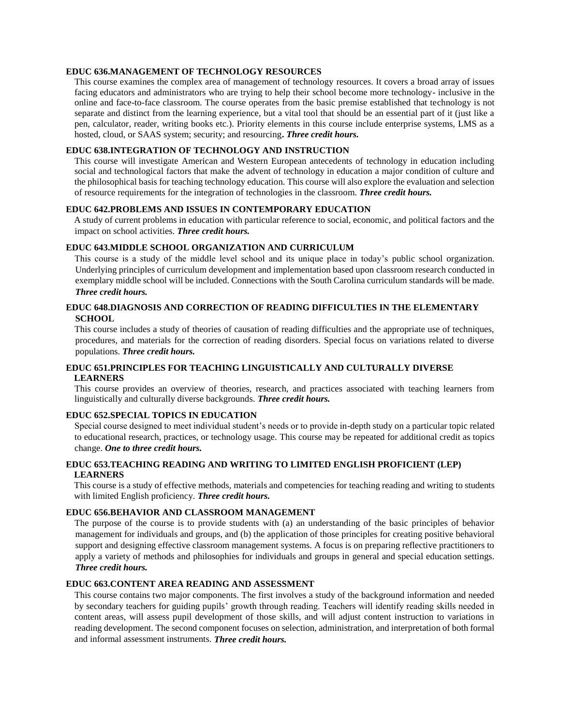## **EDUC 636.MANAGEMENT OF TECHNOLOGY RESOURCES**

This course examines the complex area of management of technology resources. It covers a broad array of issues facing educators and administrators who are trying to help their school become more technology- inclusive in the online and face-to-face classroom. The course operates from the basic premise established that technology is not separate and distinct from the learning experience, but a vital tool that should be an essential part of it (just like a pen, calculator, reader, writing books etc.). Priority elements in this course include enterprise systems, LMS as a hosted, cloud, or SAAS system; security; and resourcing**.** *Three credit hours.*

## **EDUC 638.INTEGRATION OF TECHNOLOGY AND INSTRUCTION**

This course will investigate American and Western European antecedents of technology in education including social and technological factors that make the advent of technology in education a major condition of culture and the philosophical basis for teaching technology education. This course will also explore the evaluation and selection of resource requirements for the integration of technologies in the classroom. *Three credit hours.*

# **EDUC 642.PROBLEMS AND ISSUES IN CONTEMPORARY EDUCATION**

A study of current problems in education with particular reference to social, economic, and political factors and the impact on school activities. *Three credit hours.*

# **EDUC 643.MIDDLE SCHOOL ORGANIZATION AND CURRICULUM**

This course is a study of the middle level school and its unique place in today's public school organization. Underlying principles of curriculum development and implementation based upon classroom research conducted in exemplary middle school will be included. Connections with the South Carolina curriculum standards will be made. *Three credit hours.*

# **EDUC 648.DIAGNOSIS AND CORRECTION OF READING DIFFICULTIES IN THE ELEMENTARY SCHOOL**

This course includes a study of theories of causation of reading difficulties and the appropriate use of techniques, procedures, and materials for the correction of reading disorders. Special focus on variations related to diverse populations. *Three credit hours.*

## **EDUC 651.PRINCIPLES FOR TEACHING LINGUISTICALLY AND CULTURALLY DIVERSE LEARNERS**

This course provides an overview of theories, research, and practices associated with teaching learners from linguistically and culturally diverse backgrounds. *Three credit hours.*

# **EDUC 652.SPECIAL TOPICS IN EDUCATION**

Special course designed to meet individual student's needs or to provide in-depth study on a particular topic related to educational research, practices, or technology usage. This course may be repeated for additional credit as topics change. *One to three credit hours.*

# **EDUC 653.TEACHING READING AND WRITING TO LIMITED ENGLISH PROFICIENT (LEP) LEARNERS**

This course is a study of effective methods, materials and competencies for teaching reading and writing to students with limited English proficiency. *Three credit hours.*

#### **EDUC 656.BEHAVIOR AND CLASSROOM MANAGEMENT**

The purpose of the course is to provide students with (a) an understanding of the basic principles of behavior management for individuals and groups, and (b) the application of those principles for creating positive behavioral support and designing effective classroom management systems. A focus is on preparing reflective practitioners to apply a variety of methods and philosophies for individuals and groups in general and special education settings. *Three credit hours.*

# **EDUC 663.CONTENT AREA READING AND ASSESSMENT**

This course contains two major components. The first involves a study of the background information and needed by secondary teachers for guiding pupils' growth through reading. Teachers will identify reading skills needed in content areas, will assess pupil development of those skills, and will adjust content instruction to variations in reading development. The second component focuses on selection, administration, and interpretation of both formal and informal assessment instruments. *Three credit hours.*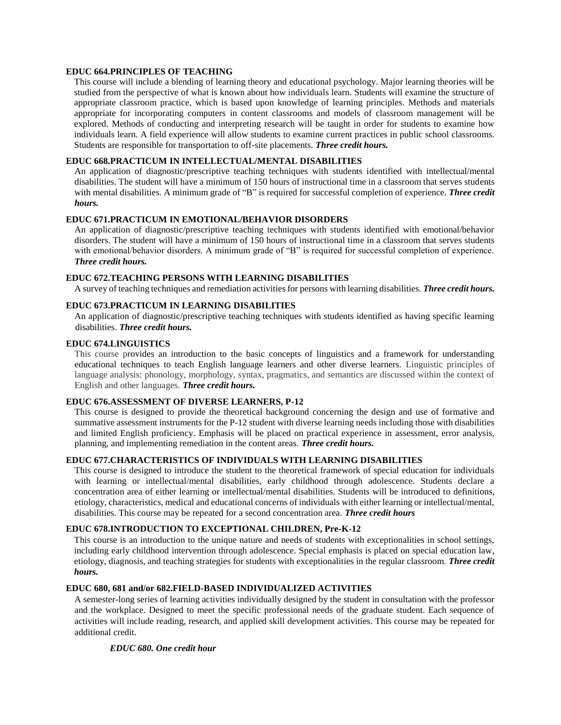## **EDUC 664.PRINCIPLES OF TEACHING**

This course will include a blending of learning theory and educational psychology. Major learning theories will be studied from the perspective of what is known about how individuals learn. Students will examine the structure of appropriate classroom practice, which is based upon knowledge of learning principles. Methods and materials appropriate for incorporating computers in content classrooms and models of classroom management will be explored. Methods of conducting and interpreting research will be taught in order for students to examine how individuals learn. A field experience will allow students to examine current practices in public school classrooms. Students are responsible for transportation to off-site placements. *Three credit hours.*

# **EDUC 668.PRACTICUM IN INTELLECTUAL/MENTAL DISABILITIES**

An application of diagnostic/prescriptive teaching techniques with students identified with intellectual/mental disabilities. The student will have a minimum of 150 hours of instructional time in a classroom that serves students with mental disabilities. A minimum grade of "B" is required for successful completion of experience. *Three credit hours.*

#### **EDUC 671.PRACTICUM IN EMOTIONAL/BEHAVIOR DISORDERS**

An application of diagnostic/prescriptive teaching techniques with students identified with emotional/behavior disorders. The student will have a minimum of 150 hours of instructional time in a classroom that serves students with emotional/behavior disorders. A minimum grade of "B" is required for successful completion of experience. *Three credit hours.*

#### **EDUC 672.TEACHING PERSONS WITH LEARNING DISABILITIES**

A survey of teaching techniques and remediation activities for persons with learning disabilities. *Three credit hours.*

#### **EDUC 673.PRACTICUM IN LEARNING DISABILITIES**

An application of diagnostic/prescriptive teaching techniques with students identified as having specific learning disabilities. *Three credit hours.*

#### **EDUC 674.LINGUISTICS**

This course provides an introduction to the basic concepts of linguistics and a framework for understanding educational techniques to teach English language learners and other diverse learners. Linguistic principles of language analysis: phonology, morphology, syntax, pragmatics, and semantics are discussed within the context of English and other languages. *Three credit hours.*

## **EDUC 676.ASSESSMENT OF DIVERSE LEARNERS, P-12**

This course is designed to provide the theoretical background concerning the design and use of formative and summative assessment instruments for the P-12 student with diverse learning needs including those with disabilities and limited English proficiency. Emphasis will be placed on practical experience in assessment, error analysis, planning, and implementing remediation in the content areas. *Three credit hours.*

## **EDUC 677.CHARACTERISTICS OF INDIVIDUALS WITH LEARNING DISABILITIES**

This course is designed to introduce the student to the theoretical framework of special education for individuals with learning or intellectual/mental disabilities, early childhood through adolescence. Students declare a concentration area of either learning or intellectual/mental disabilities. Students will be introduced to definitions, etiology, characteristics, medical and educational concerns of individuals with either learning or intellectual/mental, disabilities. This course may be repeated for a second concentration area. *Three credit hours*

#### **EDUC 678.INTRODUCTION TO EXCEPTIONAL CHILDREN, Pre-K-12**

This course is an introduction to the unique nature and needs of students with exceptionalities in school settings, including early childhood intervention through adolescence. Special emphasis is placed on special education law, etiology, diagnosis, and teaching strategies for students with exceptionalities in the regular classroom. *Three credit hours.*

#### **EDUC 680, 681 and/or 682.FIELD-BASED INDIVIDUALIZED ACTIVITIES**

A semester-long series of learning activities individually designed by the student in consultation with the professor and the workplace. Designed to meet the specific professional needs of the graduate student. Each sequence of activities will include reading, research, and applied skill development activities. This course may be repeated for additional credit.

#### *EDUC 680. One credit hour*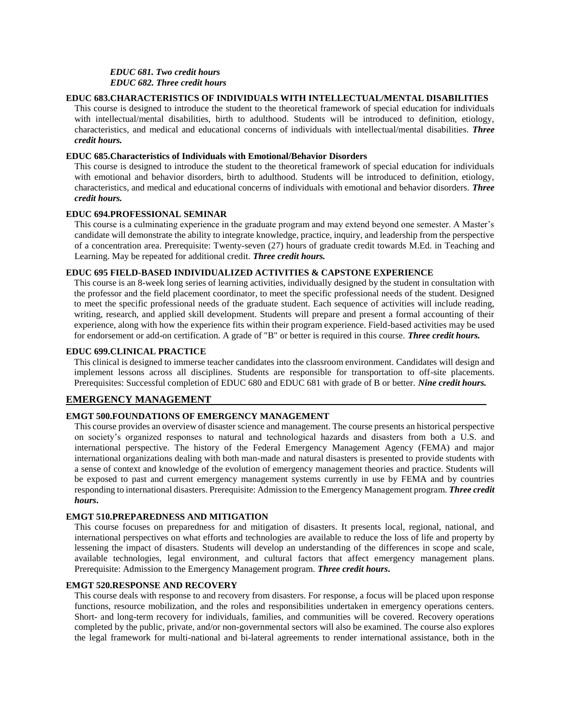# *EDUC 681. Two credit hours*

*EDUC 682. Three credit hours*

## **EDUC 683.CHARACTERISTICS OF INDIVIDUALS WITH INTELLECTUAL/MENTAL DISABILITIES**

This course is designed to introduce the student to the theoretical framework of special education for individuals with intellectual/mental disabilities, birth to adulthood. Students will be introduced to definition, etiology, characteristics, and medical and educational concerns of individuals with intellectual/mental disabilities. *Three credit hours.*

# **EDUC 685.Characteristics of Individuals with Emotional/Behavior Disorders**

This course is designed to introduce the student to the theoretical framework of special education for individuals with emotional and behavior disorders, birth to adulthood. Students will be introduced to definition, etiology, characteristics, and medical and educational concerns of individuals with emotional and behavior disorders. *Three credit hours.*

## **EDUC 694.PROFESSIONAL SEMINAR**

This course is a culminating experience in the graduate program and may extend beyond one semester. A Master's candidate will demonstrate the ability to integrate knowledge, practice, inquiry, and leadership from the perspective of a concentration area. Prerequisite: Twenty-seven (27) hours of graduate credit towards M.Ed. in Teaching and Learning. May be repeated for additional credit. *Three credit hours.*

# **EDUC 695 FIELD-BASED INDIVIDUALIZED ACTIVITIES & CAPSTONE EXPERIENCE**

This course is an 8-week long series of learning activities, individually designed by the student in consultation with the professor and the field placement coordinator, to meet the specific professional needs of the student. Designed to meet the specific professional needs of the graduate student. Each sequence of activities will include reading, writing, research, and applied skill development. Students will prepare and present a formal accounting of their experience, along with how the experience fits within their program experience. Field-based activities may be used for endorsement or add-on certification. A grade of "B" or better is required in this course. *Three credit hours.*

#### **EDUC 699.CLINICAL PRACTICE**

This clinical is designed to immerse teacher candidates into the classroom environment. Candidates will design and implement lessons across all disciplines. Students are responsible for transportation to off-site placements. Prerequisites: Successful completion of EDUC 680 and EDUC 681 with grade of B or better. *Nine credit hours.*

# **EMERGENCY MANAGEMENT**

# **EMGT 500.FOUNDATIONS OF EMERGENCY MANAGEMENT**

This course provides an overview of disaster science and management. The course presents an historical perspective on society's organized responses to natural and technological hazards and disasters from both a U.S. and international perspective. The history of the Federal Emergency Management Agency (FEMA) and major international organizations dealing with both man-made and natural disasters is presented to provide students with a sense of context and knowledge of the evolution of emergency management theories and practice. Students will be exposed to past and current emergency management systems currently in use by FEMA and by countries responding to international disasters. Prerequisite: Admission to the Emergency Management program. *Three credit hours***.**

#### **EMGT 510.PREPAREDNESS AND MITIGATION**

This course focuses on preparedness for and mitigation of disasters. It presents local, regional, national, and international perspectives on what efforts and technologies are available to reduce the loss of life and property by lessening the impact of disasters. Students will develop an understanding of the differences in scope and scale, available technologies, legal environment, and cultural factors that affect emergency management plans. Prerequisite: Admission to the Emergency Management program. *Three credit hours***.**

#### **EMGT 520.RESPONSE AND RECOVERY**

This course deals with response to and recovery from disasters. For response, a focus will be placed upon response functions, resource mobilization, and the roles and responsibilities undertaken in emergency operations centers. Short- and long-term recovery for individuals, families, and communities will be covered. Recovery operations completed by the public, private, and/or non-governmental sectors will also be examined. The course also explores the legal framework for multi-national and bi-lateral agreements to render international assistance, both in the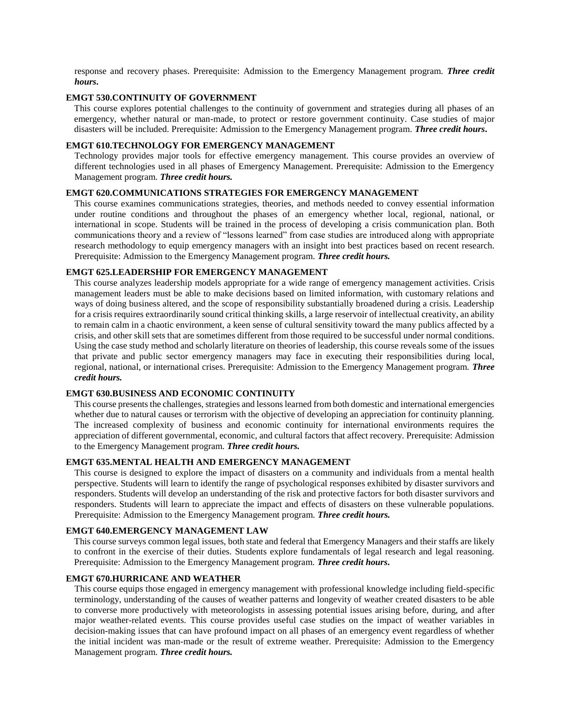response and recovery phases. Prerequisite: Admission to the Emergency Management program. *Three credit hours***.**

#### **EMGT 530.CONTINUITY OF GOVERNMENT**

This course explores potential challenges to the continuity of government and strategies during all phases of an emergency, whether natural or man-made, to protect or restore government continuity. Case studies of major disasters will be included. Prerequisite: Admission to the Emergency Management program. *Three credit hours***.**

#### **EMGT 610.TECHNOLOGY FOR EMERGENCY MANAGEMENT**

Technology provides major tools for effective emergency management. This course provides an overview of different technologies used in all phases of Emergency Management. Prerequisite: Admission to the Emergency Management program. *Three credit hours.*

#### **EMGT 620.COMMUNICATIONS STRATEGIES FOR EMERGENCY MANAGEMENT**

This course examines communications strategies, theories, and methods needed to convey essential information under routine conditions and throughout the phases of an emergency whether local, regional, national, or international in scope. Students will be trained in the process of developing a crisis communication plan. Both communications theory and a review of "lessons learned" from case studies are introduced along with appropriate research methodology to equip emergency managers with an insight into best practices based on recent research. Prerequisite: Admission to the Emergency Management program. *Three credit hours.*

# **EMGT 625.LEADERSHIP FOR EMERGENCY MANAGEMENT**

This course analyzes leadership models appropriate for a wide range of emergency management activities. Crisis management leaders must be able to make decisions based on limited information, with customary relations and ways of doing business altered, and the scope of responsibility substantially broadened during a crisis. Leadership for a crisis requires extraordinarily sound critical thinking skills, a large reservoir of intellectual creativity, an ability to remain calm in a chaotic environment, a keen sense of cultural sensitivity toward the many publics affected by a crisis, and other skill sets that are sometimes different from those required to be successful under normal conditions. Using the case study method and scholarly literature on theories of leadership, this course reveals some of the issues that private and public sector emergency managers may face in executing their responsibilities during local, regional, national, or international crises. Prerequisite: Admission to the Emergency Management program. *Three credit hours.*

#### **EMGT 630.BUSINESS AND ECONOMIC CONTINUITY**

This course presents the challenges, strategies and lessons learned from both domestic and international emergencies whether due to natural causes or terrorism with the objective of developing an appreciation for continuity planning. The increased complexity of business and economic continuity for international environments requires the appreciation of different governmental, economic, and cultural factors that affect recovery. Prerequisite: Admission to the Emergency Management program. *Three credit hours.*

#### **EMGT 635.MENTAL HEALTH AND EMERGENCY MANAGEMENT**

This course is designed to explore the impact of disasters on a community and individuals from a mental health perspective. Students will learn to identify the range of psychological responses exhibited by disaster survivors and responders. Students will develop an understanding of the risk and protective factors for both disaster survivors and responders. Students will learn to appreciate the impact and effects of disasters on these vulnerable populations. Prerequisite: Admission to the Emergency Management program. *Three credit hours.*

# **EMGT 640.EMERGENCY MANAGEMENT LAW**

This course surveys common legal issues, both state and federal that Emergency Managers and their staffs are likely to confront in the exercise of their duties. Students explore fundamentals of legal research and legal reasoning. Prerequisite: Admission to the Emergency Management program. *Three credit hours***.**

#### **EMGT 670.HURRICANE AND WEATHER**

This course equips those engaged in emergency management with professional knowledge including field-specific terminology, understanding of the causes of weather patterns and longevity of weather created disasters to be able to converse more productively with meteorologists in assessing potential issues arising before, during, and after major weather-related events. This course provides useful case studies on the impact of weather variables in decision-making issues that can have profound impact on all phases of an emergency event regardless of whether the initial incident was man-made or the result of extreme weather. Prerequisite: Admission to the Emergency Management program. *Three credit hours.*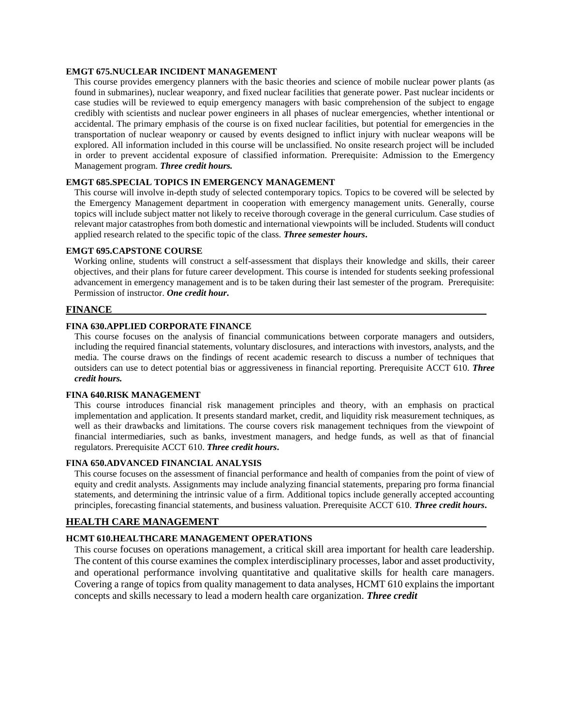#### **EMGT 675.NUCLEAR INCIDENT MANAGEMENT**

This course provides emergency planners with the basic theories and science of mobile nuclear power plants (as found in submarines), nuclear weaponry, and fixed nuclear facilities that generate power. Past nuclear incidents or case studies will be reviewed to equip emergency managers with basic comprehension of the subject to engage credibly with scientists and nuclear power engineers in all phases of nuclear emergencies, whether intentional or accidental. The primary emphasis of the course is on fixed nuclear facilities, but potential for emergencies in the transportation of nuclear weaponry or caused by events designed to inflict injury with nuclear weapons will be explored. All information included in this course will be unclassified. No onsite research project will be included in order to prevent accidental exposure of classified information. Prerequisite: Admission to the Emergency Management program. *Three credit hours.*

# **EMGT 685.SPECIAL TOPICS IN EMERGENCY MANAGEMENT**

This course will involve in-depth study of selected contemporary topics. Topics to be covered will be selected by the Emergency Management department in cooperation with emergency management units. Generally, course topics will include subject matter not likely to receive thorough coverage in the general curriculum. Case studies of relevant major catastrophes from both domestic and international viewpoints will be included. Students will conduct applied research related to the specific topic of the class. *Three semester hours***.**

#### **EMGT 695.CAPSTONE COURSE**

Working online, students will construct a self-assessment that displays their knowledge and skills, their career objectives, and their plans for future career development. This course is intended for students seeking professional advancement in emergency management and is to be taken during their last semester of the program. Prerequisite: Permission of instructor. *One credit hour***.**

# **FINANCE**

## **FINA 630.APPLIED CORPORATE FINANCE**

This course focuses on the analysis of financial communications between corporate managers and outsiders, including the required financial statements, voluntary disclosures, and interactions with investors, analysts, and the media. The course draws on the findings of recent academic research to discuss a number of techniques that outsiders can use to detect potential bias or aggressiveness in financial reporting. Prerequisite ACCT 610. *Three credit hours.*

# **FINA 640.RISK MANAGEMENT**

This course introduces financial risk management principles and theory, with an emphasis on practical implementation and application. It presents standard market, credit, and liquidity risk measurement techniques, as well as their drawbacks and limitations. The course covers risk management techniques from the viewpoint of financial intermediaries, such as banks, investment managers, and hedge funds, as well as that of financial regulators. Prerequisite ACCT 610. *Three credit hours***.**

# **FINA 650.ADVANCED FINANCIAL ANALYSIS**

This course focuses on the assessment of financial performance and health of companies from the point of view of equity and credit analysts. Assignments may include analyzing financial statements, preparing pro forma financial statements, and determining the intrinsic value of a firm. Additional topics include generally accepted accounting principles, forecasting financial statements, and business valuation. Prerequisite ACCT 610. *Three credit hours***.**

# **HEALTH CARE MANAGEMENT**

# **HCMT 610.HEALTHCARE MANAGEMENT OPERATIONS**

This course focuses on operations management, a critical skill area important for health care leadership. The content of this course examines the complex interdisciplinary processes, labor and asset productivity, and operational performance involving quantitative and qualitative skills for health care managers. Covering a range of topics from quality management to data analyses, HCMT 610 explains the important concepts and skills necessary to lead a modern health care organization. *Three credit*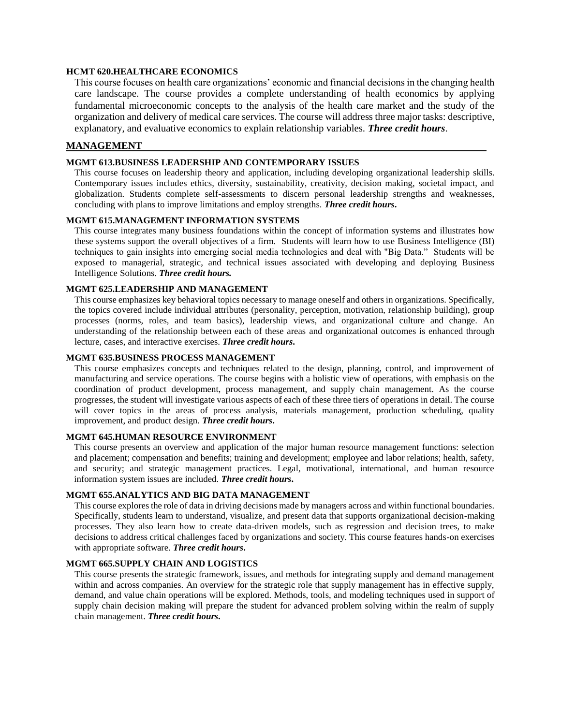## **HCMT 620.HEALTHCARE ECONOMICS**

This course focuses on health care organizations' economic and financial decisions in the changing health care landscape. The course provides a complete understanding of health economics by applying fundamental microeconomic concepts to the analysis of the health care market and the study of the organization and delivery of medical care services. The course will address three major tasks: descriptive, explanatory, and evaluative economics to explain relationship variables. *Three credit hours*.

# **MANAGEMENT**

#### **MGMT 613.BUSINESS LEADERSHIP AND CONTEMPORARY ISSUES**

This course focuses on leadership theory and application, including developing organizational leadership skills. Contemporary issues includes ethics, diversity, sustainability, creativity, decision making, societal impact, and globalization. Students complete self-assessments to discern personal leadership strengths and weaknesses, concluding with plans to improve limitations and employ strengths. *Three credit hours***.**

#### **MGMT 615.MANAGEMENT INFORMATION SYSTEMS**

This course integrates many business foundations within the concept of information systems and illustrates how these systems support the overall objectives of a firm. Students will learn how to use Business Intelligence (BI) techniques to gain insights into emerging social media technologies and deal with "Big Data." Students will be exposed to managerial, strategic, and technical issues associated with developing and deploying Business Intelligence Solutions. *Three credit hours.*

## **MGMT 625.LEADERSHIP AND MANAGEMENT**

This course emphasizes key behavioral topics necessary to manage oneself and others in organizations. Specifically, the topics covered include individual attributes (personality, perception, motivation, relationship building), group processes (norms, roles, and team basics), leadership views, and organizational culture and change. An understanding of the relationship between each of these areas and organizational outcomes is enhanced through lecture, cases, and interactive exercises. *Three credit hours***.**

## **MGMT 635.BUSINESS PROCESS MANAGEMENT**

This course emphasizes concepts and techniques related to the design, planning, control, and improvement of manufacturing and service operations. The course begins with a holistic view of operations, with emphasis on the coordination of product development, process management, and supply chain management. As the course progresses, the student will investigate various aspects of each of these three tiers of operations in detail. The course will cover topics in the areas of process analysis, materials management, production scheduling, quality improvement, and product design. *Three credit hours***.**

## **MGMT 645.HUMAN RESOURCE ENVIRONMENT**

This course presents an overview and application of the major human resource management functions: selection and placement; compensation and benefits; training and development; employee and labor relations; health, safety, and security; and strategic management practices. Legal, motivational, international, and human resource information system issues are included. *Three credit hours***.**

#### **MGMT 655.ANALYTICS AND BIG DATA MANAGEMENT**

This course explores the role of data in driving decisions made by managers across and within functional boundaries. Specifically, students learn to understand, visualize, and present data that supports organizational decision-making processes. They also learn how to create data-driven models, such as regression and decision trees, to make decisions to address critical challenges faced by organizations and society. This course features hands-on exercises with appropriate software. *Three credit hours***.**

#### **MGMT 665.SUPPLY CHAIN AND LOGISTICS**

This course presents the strategic framework, issues, and methods for integrating supply and demand management within and across companies. An overview for the strategic role that supply management has in effective supply, demand, and value chain operations will be explored. Methods, tools, and modeling techniques used in support of supply chain decision making will prepare the student for advanced problem solving within the realm of supply chain management. *Three credit hours***.**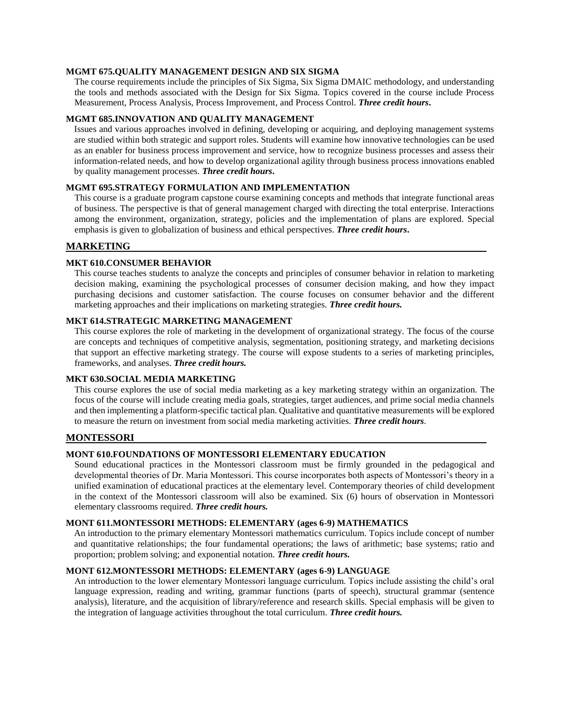#### **MGMT 675.QUALITY MANAGEMENT DESIGN AND SIX SIGMA**

The course requirements include the principles of Six Sigma, Six Sigma DMAIC methodology, and understanding the tools and methods associated with the Design for Six Sigma. Topics covered in the course include Process Measurement, Process Analysis, Process Improvement, and Process Control. *Three credit hours***.**

#### **MGMT 685.INNOVATION AND QUALITY MANAGEMENT**

Issues and various approaches involved in defining, developing or acquiring, and deploying management systems are studied within both strategic and support roles. Students will examine how innovative technologies can be used as an enabler for business process improvement and service, how to recognize business processes and assess their information-related needs, and how to develop organizational agility through business process innovations enabled by quality management processes. *Three credit hours***.**

#### **MGMT 695.STRATEGY FORMULATION AND IMPLEMENTATION**

This course is a graduate program capstone course examining concepts and methods that integrate functional areas of business. The perspective is that of general management charged with directing the total enterprise. Interactions among the environment, organization, strategy, policies and the implementation of plans are explored. Special emphasis is given to globalization of business and ethical perspectives. *Three credit hours***.**

#### **MARKETING**

#### **MKT 610.CONSUMER BEHAVIOR**

This course teaches students to analyze the concepts and principles of consumer behavior in relation to marketing decision making, examining the psychological processes of consumer decision making, and how they impact purchasing decisions and customer satisfaction. The course focuses on consumer behavior and the different marketing approaches and their implications on marketing strategies. *Three credit hours.*

#### **MKT 614.STRATEGIC MARKETING MANAGEMENT**

This course explores the role of marketing in the development of organizational strategy. The focus of the course are concepts and techniques of competitive analysis, segmentation, positioning strategy, and marketing decisions that support an effective marketing strategy. The course will expose students to a series of marketing principles, frameworks, and analyses. *Three credit hours.*

#### **MKT 630.SOCIAL MEDIA MARKETING**

This course explores the use of social media marketing as a key marketing strategy within an organization. The focus of the course will include creating media goals, strategies, target audiences, and prime social media channels and then implementing a platform-specific tactical plan. Qualitative and quantitative measurements will be explored to measure the return on investment from social media marketing activities. *Three credit hours*.

## **MONTESSORI**

#### **MONT 610.FOUNDATIONS OF MONTESSORI ELEMENTARY EDUCATION**

Sound educational practices in the Montessori classroom must be firmly grounded in the pedagogical and developmental theories of Dr. Maria Montessori. This course incorporates both aspects of Montessori's theory in a unified examination of educational practices at the elementary level. Contemporary theories of child development in the context of the Montessori classroom will also be examined. Six (6) hours of observation in Montessori elementary classrooms required. *Three credit hours.*

#### **MONT 611.MONTESSORI METHODS: ELEMENTARY (ages 6-9) MATHEMATICS**

An introduction to the primary elementary Montessori mathematics curriculum. Topics include concept of number and quantitative relationships; the four fundamental operations; the laws of arithmetic; base systems; ratio and proportion; problem solving; and exponential notation. *Three credit hours.*

## **MONT 612.MONTESSORI METHODS: ELEMENTARY (ages 6-9) LANGUAGE**

An introduction to the lower elementary Montessori language curriculum. Topics include assisting the child's oral language expression, reading and writing, grammar functions (parts of speech), structural grammar (sentence analysis), literature, and the acquisition of library/reference and research skills. Special emphasis will be given to the integration of language activities throughout the total curriculum. *Three credit hours.*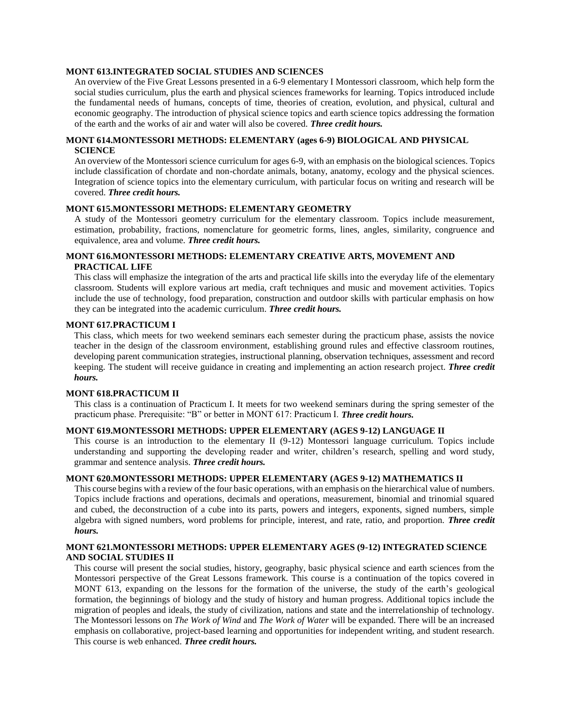#### **MONT 613.INTEGRATED SOCIAL STUDIES AND SCIENCES**

An overview of the Five Great Lessons presented in a 6-9 elementary I Montessori classroom, which help form the social studies curriculum, plus the earth and physical sciences frameworks for learning. Topics introduced include the fundamental needs of humans, concepts of time, theories of creation, evolution, and physical, cultural and economic geography. The introduction of physical science topics and earth science topics addressing the formation of the earth and the works of air and water will also be covered. *Three credit hours.*

# **MONT 614.MONTESSORI METHODS: ELEMENTARY (ages 6-9) BIOLOGICAL AND PHYSICAL SCIENCE**

An overview of the Montessori science curriculum for ages 6-9, with an emphasis on the biological sciences. Topics include classification of chordate and non-chordate animals, botany, anatomy, ecology and the physical sciences. Integration of science topics into the elementary curriculum, with particular focus on writing and research will be covered. *Three credit hours.*

## **MONT 615.MONTESSORI METHODS: ELEMENTARY GEOMETRY**

A study of the Montessori geometry curriculum for the elementary classroom. Topics include measurement, estimation, probability, fractions, nomenclature for geometric forms, lines, angles, similarity, congruence and equivalence, area and volume. *Three credit hours.*

# **MONT 616.MONTESSORI METHODS: ELEMENTARY CREATIVE ARTS, MOVEMENT AND PRACTICAL LIFE**

This class will emphasize the integration of the arts and practical life skills into the everyday life of the elementary classroom. Students will explore various art media, craft techniques and music and movement activities. Topics include the use of technology, food preparation, construction and outdoor skills with particular emphasis on how they can be integrated into the academic curriculum. *Three credit hours.*

## **MONT 617***.***PRACTICUM I**

This class, which meets for two weekend seminars each semester during the practicum phase, assists the novice teacher in the design of the classroom environment, establishing ground rules and effective classroom routines, developing parent communication strategies, instructional planning, observation techniques, assessment and record keeping. The student will receive guidance in creating and implementing an action research project. *Three credit hours.*

#### **MONT 618.PRACTICUM II**

This class is a continuation of Practicum I. It meets for two weekend seminars during the spring semester of the practicum phase. Prerequisite: "B" or better in MONT 617: Practicum I. *Three credit hours.*

#### **MONT 619.MONTESSORI METHODS: UPPER ELEMENTARY (AGES 9-12) LANGUAGE II**

This course is an introduction to the elementary II (9-12) Montessori language curriculum. Topics include understanding and supporting the developing reader and writer, children's research, spelling and word study, grammar and sentence analysis. *Three credit hours.*

## **MONT 620.MONTESSORI METHODS: UPPER ELEMENTARY (AGES 9-12) MATHEMATICS II**

This course begins with a review of the four basic operations, with an emphasis on the hierarchical value of numbers. Topics include fractions and operations, decimals and operations, measurement, binomial and trinomial squared and cubed, the deconstruction of a cube into its parts, powers and integers, exponents, signed numbers, simple algebra with signed numbers, word problems for principle, interest, and rate, ratio, and proportion. *Three credit hours.*

#### **MONT 621.MONTESSORI METHODS: UPPER ELEMENTARY AGES (9-12) INTEGRATED SCIENCE AND SOCIAL STUDIES II**

This course will present the social studies, history, geography, basic physical science and earth sciences from the Montessori perspective of the Great Lessons framework. This course is a continuation of the topics covered in MONT 613, expanding on the lessons for the formation of the universe, the study of the earth's geological formation, the beginnings of biology and the study of history and human progress. Additional topics include the migration of peoples and ideals, the study of civilization, nations and state and the interrelationship of technology. The Montessori lessons on *The Work of Wind* and *The Work of Water* will be expanded. There will be an increased emphasis on collaborative, project-based learning and opportunities for independent writing, and student research*.*  This course is web enhanced. *Three credit hours.*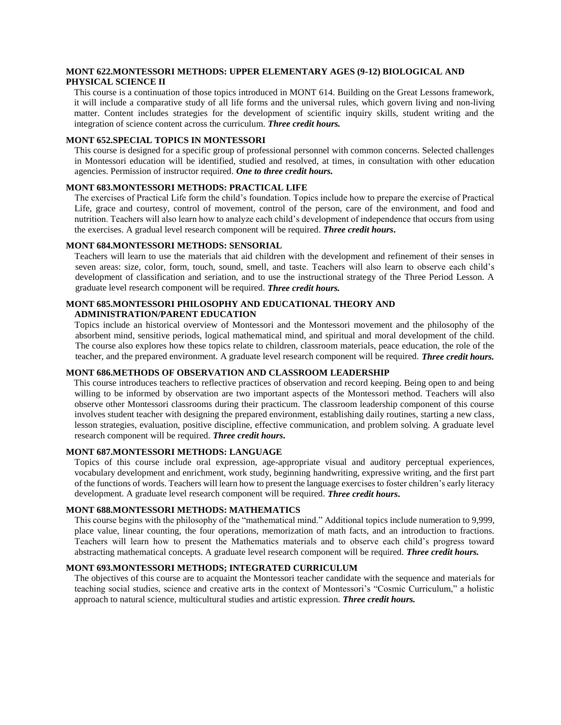# **MONT 622.MONTESSORI METHODS: UPPER ELEMENTARY AGES (9-12) BIOLOGICAL AND PHYSICAL SCIENCE II**

This course is a continuation of those topics introduced in MONT 614. Building on the Great Lessons framework, it will include a comparative study of all life forms and the universal rules, which govern living and non-living matter. Content includes strategies for the development of scientific inquiry skills, student writing and the integration of science content across the curriculum. *Three credit hours.*

#### **MONT 652.SPECIAL TOPICS IN MONTESSORI**

This course is designed for a specific group of professional personnel with common concerns. Selected challenges in Montessori education will be identified, studied and resolved, at times, in consultation with other education agencies. Permission of instructor required. *One to three credit hours.*

#### **MONT 683.MONTESSORI METHODS: PRACTICAL LIFE**

The exercises of Practical Life form the child's foundation. Topics include how to prepare the exercise of Practical Life, grace and courtesy, control of movement, control of the person, care of the environment, and food and nutrition. Teachers will also learn how to analyze each child's development of independence that occurs from using the exercises. A gradual level research component will be required. *Three credit hours***.**

#### **MONT 684.MONTESSORI METHODS: SENSORIAL**

Teachers will learn to use the materials that aid children with the development and refinement of their senses in seven areas: size, color, form, touch, sound, smell, and taste. Teachers will also learn to observe each child's development of classification and seriation, and to use the instructional strategy of the Three Period Lesson. A graduate level research component will be required. *Three credit hours.*

#### **MONT 685.MONTESSORI PHILOSOPHY AND EDUCATIONAL THEORY AND ADMINISTRATION/PARENT EDUCATION**

Topics include an historical overview of Montessori and the Montessori movement and the philosophy of the absorbent mind, sensitive periods, logical mathematical mind, and spiritual and moral development of the child. The course also explores how these topics relate to children, classroom materials, peace education, the role of the teacher, and the prepared environment. A graduate level research component will be required. *Three credit hours.*

# **MONT 686.METHODS OF OBSERVATION AND CLASSROOM LEADERSHIP**

This course introduces teachers to reflective practices of observation and record keeping. Being open to and being willing to be informed by observation are two important aspects of the Montessori method. Teachers will also observe other Montessori classrooms during their practicum. The classroom leadership component of this course involves student teacher with designing the prepared environment, establishing daily routines, starting a new class, lesson strategies, evaluation, positive discipline, effective communication, and problem solving. A graduate level research component will be required. *Three credit hours***.**

#### **MONT 687.MONTESSORI METHODS: LANGUAGE**

Topics of this course include oral expression, age-appropriate visual and auditory perceptual experiences, vocabulary development and enrichment, work study, beginning handwriting, expressive writing, and the first part of the functions of words. Teachers will learn how to present the language exercises to foster children's early literacy development. A graduate level research component will be required. *Three credit hours***.**

#### **MONT 688.MONTESSORI METHODS: MATHEMATICS**

This course begins with the philosophy of the "mathematical mind." Additional topics include numeration to 9,999, place value, linear counting, the four operations, memorization of math facts, and an introduction to fractions. Teachers will learn how to present the Mathematics materials and to observe each child's progress toward abstracting mathematical concepts. A graduate level research component will be required. *Three credit hours.*

#### **MONT 693.MONTESSORI METHODS; INTEGRATED CURRICULUM**

The objectives of this course are to acquaint the Montessori teacher candidate with the sequence and materials for teaching social studies, science and creative arts in the context of Montessori's "Cosmic Curriculum," a holistic approach to natural science, multicultural studies and artistic expression. *Three credit hours.*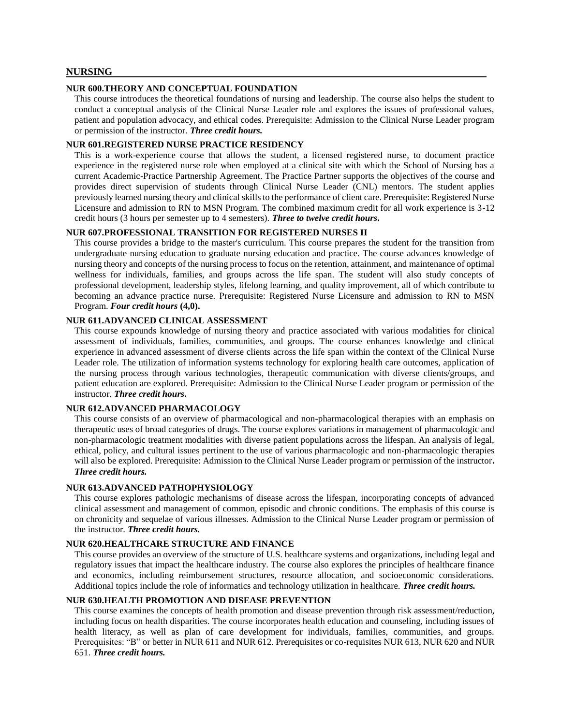## **NURSING**

#### **NUR 600.THEORY AND CONCEPTUAL FOUNDATION**

This course introduces the theoretical foundations of nursing and leadership. The course also helps the student to conduct a conceptual analysis of the Clinical Nurse Leader role and explores the issues of professional values, patient and population advocacy, and ethical codes. Prerequisite: Admission to the Clinical Nurse Leader program or permission of the instructor. *Three credit hours.*

#### **NUR 601.REGISTERED NURSE PRACTICE RESIDENCY**

This is a work-experience course that allows the student, a licensed registered nurse, to document practice experience in the registered nurse role when employed at a clinical site with which the School of Nursing has a current Academic-Practice Partnership Agreement. The Practice Partner supports the objectives of the course and provides direct supervision of students through Clinical Nurse Leader (CNL) mentors. The student applies previously learned nursing theory and clinical skills to the performance of client care. Prerequisite: Registered Nurse Licensure and admission to RN to MSN Program. The combined maximum credit for all work experience is 3-12 credit hours (3 hours per semester up to 4 semesters). *Three to twelve credit hours***.**

#### **NUR 607.PROFESSIONAL TRANSITION FOR REGISTERED NURSES II**

This course provides a bridge to the master's curriculum. This course prepares the student for the transition from undergraduate nursing education to graduate nursing education and practice. The course advances knowledge of nursing theory and concepts of the nursing process to focus on the retention, attainment, and maintenance of optimal wellness for individuals, families, and groups across the life span. The student will also study concepts of professional development, leadership styles, lifelong learning, and quality improvement, all of which contribute to becoming an advance practice nurse. Prerequisite: Registered Nurse Licensure and admission to RN to MSN Program. *Four credit hours* **(4,0).**

## **NUR 611.ADVANCED CLINICAL ASSESSMENT**

This course expounds knowledge of nursing theory and practice associated with various modalities for clinical assessment of individuals, families, communities, and groups. The course enhances knowledge and clinical experience in advanced assessment of diverse clients across the life span within the context of the Clinical Nurse Leader role. The utilization of information systems technology for exploring health care outcomes, application of the nursing process through various technologies, therapeutic communication with diverse clients/groups, and patient education are explored. Prerequisite: Admission to the Clinical Nurse Leader program or permission of the instructor. *Three credit hours***.**

#### **NUR 612.ADVANCED PHARMACOLOGY**

This course consists of an overview of pharmacological and non-pharmacological therapies with an emphasis on therapeutic uses of broad categories of drugs. The course explores variations in management of pharmacologic and non-pharmacologic treatment modalities with diverse patient populations across the lifespan. An analysis of legal, ethical, policy, and cultural issues pertinent to the use of various pharmacologic and non-pharmacologic therapies will also be explored. Prerequisite: Admission to the Clinical Nurse Leader program or permission of the instructor**.**  *Three credit hours.*

#### **NUR 613.ADVANCED PATHOPHYSIOLOGY**

This course explores pathologic mechanisms of disease across the lifespan, incorporating concepts of advanced clinical assessment and management of common, episodic and chronic conditions. The emphasis of this course is on chronicity and sequelae of various illnesses. Admission to the Clinical Nurse Leader program or permission of the instructor. *Three credit hours.*

#### **NUR 620.HEALTHCARE STRUCTURE AND FINANCE**

This course provides an overview of the structure of U.S. healthcare systems and organizations, including legal and regulatory issues that impact the healthcare industry. The course also explores the principles of healthcare finance and economics, including reimbursement structures, resource allocation, and socioeconomic considerations. Additional topics include the role of informatics and technology utilization in healthcare. *Three credit hours.*

# **NUR 630.HEALTH PROMOTION AND DISEASE PREVENTION**

This course examines the concepts of health promotion and disease prevention through risk assessment/reduction, including focus on health disparities. The course incorporates health education and counseling, including issues of health literacy, as well as plan of care development for individuals, families, communities, and groups. Prerequisites: "B" or better in NUR 611 and NUR 612. Prerequisites or co-requisites NUR 613, NUR 620 and NUR 651. *Three credit hours.*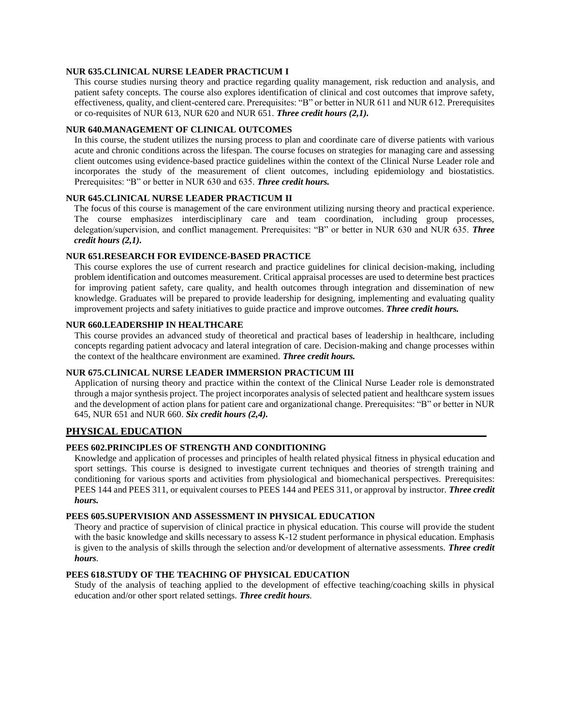## **NUR 635.CLINICAL NURSE LEADER PRACTICUM I**

This course studies nursing theory and practice regarding quality management, risk reduction and analysis, and patient safety concepts. The course also explores identification of clinical and cost outcomes that improve safety, effectiveness, quality, and client-centered care. Prerequisites: "B" or better in NUR 611 and NUR 612. Prerequisites or co-requisites of NUR 613, NUR 620 and NUR 651. *Three credit hours (2,1).*

#### **NUR 640.MANAGEMENT OF CLINICAL OUTCOMES**

In this course, the student utilizes the nursing process to plan and coordinate care of diverse patients with various acute and chronic conditions across the lifespan. The course focuses on strategies for managing care and assessing client outcomes using evidence-based practice guidelines within the context of the Clinical Nurse Leader role and incorporates the study of the measurement of client outcomes, including epidemiology and biostatistics. Prerequisites: "B" or better in NUR 630 and 635. *Three credit hours.*

#### **NUR 645.CLINICAL NURSE LEADER PRACTICUM II**

The focus of this course is management of the care environment utilizing nursing theory and practical experience. The course emphasizes interdisciplinary care and team coordination, including group processes, delegation/supervision, and conflict management. Prerequisites: "B" or better in NUR 630 and NUR 635. *Three credit hours (2,1).*

#### **NUR 651.RESEARCH FOR EVIDENCE-BASED PRACTICE**

This course explores the use of current research and practice guidelines for clinical decision-making, including problem identification and outcomes measurement. Critical appraisal processes are used to determine best practices for improving patient safety, care quality, and health outcomes through integration and dissemination of new knowledge. Graduates will be prepared to provide leadership for designing, implementing and evaluating quality improvement projects and safety initiatives to guide practice and improve outcomes. *Three credit hours.*

## **NUR 660.LEADERSHIP IN HEALTHCARE**

This course provides an advanced study of theoretical and practical bases of leadership in healthcare, including concepts regarding patient advocacy and lateral integration of care. Decision-making and change processes within the context of the healthcare environment are examined. *Three credit hours.*

# **NUR 675.CLINICAL NURSE LEADER IMMERSION PRACTICUM III**

Application of nursing theory and practice within the context of the Clinical Nurse Leader role is demonstrated through a major synthesis project. The project incorporates analysis of selected patient and healthcare system issues and the development of action plans for patient care and organizational change. Prerequisites: "B" or better in NUR 645, NUR 651 and NUR 660. *Six credit hours (2,4).*

#### **PHYSICAL EDUCATION**

## **PEES 602.PRINCIPLES OF STRENGTH AND CONDITIONING**

Knowledge and application of processes and principles of health related physical fitness in physical education and sport settings. This course is designed to investigate current techniques and theories of strength training and conditioning for various sports and activities from physiological and biomechanical perspectives. Prerequisites: PEES 144 and PEES 311, or equivalent courses to PEES 144 and PEES 311, or approval by instructor. *Three credit hours.*

#### **PEES 605.SUPERVISION AND ASSESSMENT IN PHYSICAL EDUCATION**

Theory and practice of supervision of clinical practice in physical education. This course will provide the student with the basic knowledge and skills necessary to assess K-12 student performance in physical education. Emphasis is given to the analysis of skills through the selection and/or development of alternative assessments. *Three credit hours.*

#### **PEES 618.STUDY OF THE TEACHING OF PHYSICAL EDUCATION**

Study of the analysis of teaching applied to the development of effective teaching/coaching skills in physical education and/or other sport related settings. *Three credit hours.*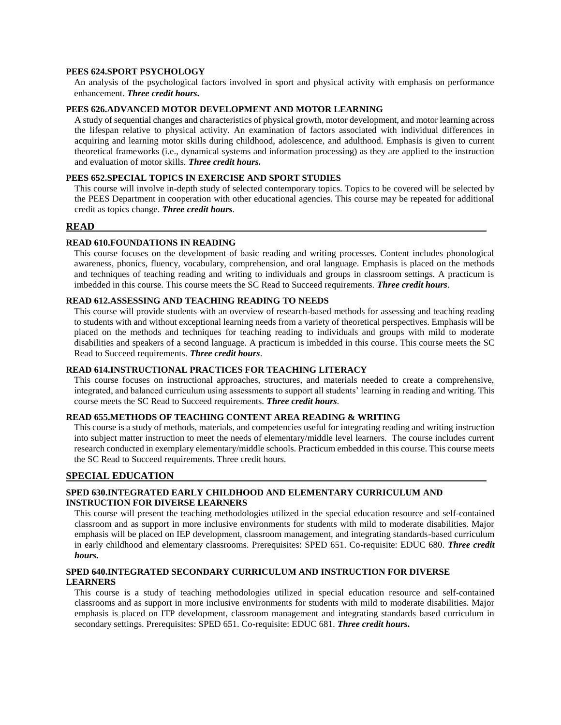# **PEES 624.SPORT PSYCHOLOGY**

An analysis of the psychological factors involved in sport and physical activity with emphasis on performance enhancement. *Three credit hours***.**

## **PEES 626.ADVANCED MOTOR DEVELOPMENT AND MOTOR LEARNING**

A study of sequential changes and characteristics of physical growth, motor development, and motor learning across the lifespan relative to physical activity. An examination of factors associated with individual differences in acquiring and learning motor skills during childhood, adolescence, and adulthood. Emphasis is given to current theoretical frameworks (i.e., dynamical systems and information processing) as they are applied to the instruction and evaluation of motor skills. *Three credit hours.*

## **PEES 652.SPECIAL TOPICS IN EXERCISE AND SPORT STUDIES**

This course will involve in-depth study of selected contemporary topics. Topics to be covered will be selected by the PEES Department in cooperation with other educational agencies. This course may be repeated for additional credit as topics change. *Three credit hours*.

#### **READ**

#### **READ 610.FOUNDATIONS IN READING**

This course focuses on the development of basic reading and writing processes. Content includes phonological awareness, phonics, fluency, vocabulary, comprehension, and oral language. Emphasis is placed on the methods and techniques of teaching reading and writing to individuals and groups in classroom settings. A practicum is imbedded in this course. This course meets the SC Read to Succeed requirements. *Three credit hours*.

#### **READ 612.ASSESSING AND TEACHING READING TO NEEDS**

This course will provide students with an overview of research-based methods for assessing and teaching reading to students with and without exceptional learning needs from a variety of theoretical perspectives. Emphasis will be placed on the methods and techniques for teaching reading to individuals and groups with mild to moderate disabilities and speakers of a second language. A practicum is imbedded in this course. This course meets the SC Read to Succeed requirements. *Three credit hours*.

## **READ 614.INSTRUCTIONAL PRACTICES FOR TEACHING LITERACY**

This course focuses on instructional approaches, structures, and materials needed to create a comprehensive, integrated, and balanced curriculum using assessments to support all students' learning in reading and writing. This course meets the SC Read to Succeed requirements. *Three credit hours*.

#### **READ 655.METHODS OF TEACHING CONTENT AREA READING & WRITING**

This course is a study of methods, materials, and competencies useful for integrating reading and writing instruction into subject matter instruction to meet the needs of elementary/middle level learners. The course includes current research conducted in exemplary elementary/middle schools. Practicum embedded in this course. This course meets the SC Read to Succeed requirements. Three credit hours.

#### **SPECIAL EDUCATION**

## **SPED 630.INTEGRATED EARLY CHILDHOOD AND ELEMENTARY CURRICULUM AND INSTRUCTION FOR DIVERSE LEARNERS**

This course will present the teaching methodologies utilized in the special education resource and self-contained classroom and as support in more inclusive environments for students with mild to moderate disabilities. Major emphasis will be placed on IEP development, classroom management, and integrating standards-based curriculum in early childhood and elementary classrooms. Prerequisites: SPED 651. Co-requisite: EDUC 680. *Three credit hours***.**

## **SPED 640.INTEGRATED SECONDARY CURRICULUM AND INSTRUCTION FOR DIVERSE LEARNERS**

This course is a study of teaching methodologies utilized in special education resource and self-contained classrooms and as support in more inclusive environments for students with mild to moderate disabilities. Major emphasis is placed on ITP development, classroom management and integrating standards based curriculum in secondary settings. Prerequisites: SPED 651. Co-requisite: EDUC 681. *Three credit hours***.**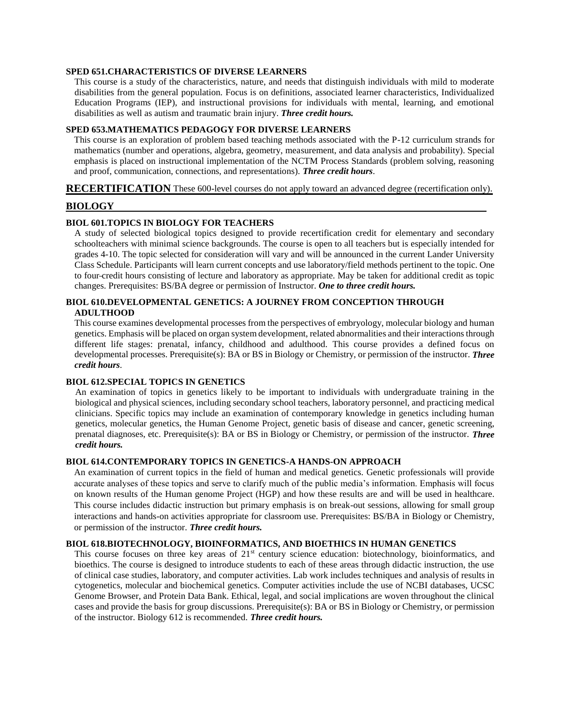#### **SPED 651.CHARACTERISTICS OF DIVERSE LEARNERS**

This course is a study of the characteristics, nature, and needs that distinguish individuals with mild to moderate disabilities from the general population. Focus is on definitions, associated learner characteristics, Individualized Education Programs (IEP), and instructional provisions for individuals with mental, learning, and emotional disabilities as well as autism and traumatic brain injury. *Three credit hours.*

#### **SPED 653.MATHEMATICS PEDAGOGY FOR DIVERSE LEARNERS**

This course is an exploration of problem based teaching methods associated with the P-12 curriculum strands for mathematics (number and operations, algebra, geometry, measurement, and data analysis and probability). Special emphasis is placed on instructional implementation of the NCTM Process Standards (problem solving, reasoning and proof, communication, connections, and representations). *Three credit hours*.

## **RECERTIFICATION** These 600-level courses do not apply toward an advanced degree (recertification only).

# **BIOLOGY**

# **BIOL 601.TOPICS IN BIOLOGY FOR TEACHERS**

A study of selected biological topics designed to provide recertification credit for elementary and secondary schoolteachers with minimal science backgrounds. The course is open to all teachers but is especially intended for grades 4-10. The topic selected for consideration will vary and will be announced in the current Lander University Class Schedule. Participants will learn current concepts and use laboratory/field methods pertinent to the topic. One to four credit hours consisting of lecture and laboratory as appropriate. May be taken for additional credit as topic changes. Prerequisites: BS/BA degree or permission of Instructor. *One to three credit hours.*

# **BIOL 610.DEVELOPMENTAL GENETICS: A JOURNEY FROM CONCEPTION THROUGH ADULTHOOD**

This course examines developmental processes from the perspectives of embryology, molecular biology and human genetics. Emphasis will be placed on organ system development, related abnormalities and their interactions through different life stages: prenatal, infancy, childhood and adulthood. This course provides a defined focus on developmental processes. Prerequisite(s): BA or BS in Biology or Chemistry, or permission of the instructor. *Three credit hours*.

#### **BIOL 612.SPECIAL TOPICS IN GENETICS**

An examination of topics in genetics likely to be important to individuals with undergraduate training in the biological and physical sciences, including secondary school teachers, laboratory personnel, and practicing medical clinicians. Specific topics may include an examination of contemporary knowledge in genetics including human genetics, molecular genetics, the Human Genome Project, genetic basis of disease and cancer, genetic screening, prenatal diagnoses, etc. Prerequisite(s): BA or BS in Biology or Chemistry, or permission of the instructor. *Three credit hours.*

#### **BIOL 614.CONTEMPORARY TOPICS IN GENETICS-A HANDS-ON APPROACH**

An examination of current topics in the field of human and medical genetics. Genetic professionals will provide accurate analyses of these topics and serve to clarify much of the public media's information. Emphasis will focus on known results of the Human genome Project (HGP) and how these results are and will be used in healthcare. This course includes didactic instruction but primary emphasis is on break-out sessions, allowing for small group interactions and hands-on activities appropriate for classroom use. Prerequisites: BS/BA in Biology or Chemistry, or permission of the instructor. *Three credit hours.*

#### **BIOL 618.BIOTECHNOLOGY, BIOINFORMATICS, AND BIOETHICS IN HUMAN GENETICS**

This course focuses on three key areas of  $21<sup>st</sup>$  century science education: biotechnology, bioinformatics, and bioethics. The course is designed to introduce students to each of these areas through didactic instruction, the use of clinical case studies, laboratory, and computer activities. Lab work includes techniques and analysis of results in cytogenetics, molecular and biochemical genetics. Computer activities include the use of NCBI databases, UCSC Genome Browser, and Protein Data Bank. Ethical, legal, and social implications are woven throughout the clinical cases and provide the basis for group discussions. Prerequisite(s): BA or BS in Biology or Chemistry, or permission of the instructor. Biology 612 is recommended. *Three credit hours.*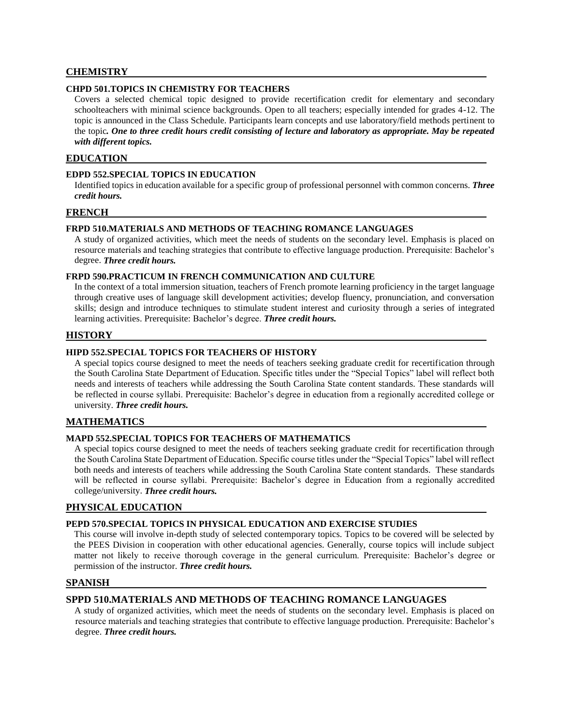# **CHEMISTRY**

# **CHPD 501.TOPICS IN CHEMISTRY FOR TEACHERS**

Covers a selected chemical topic designed to provide recertification credit for elementary and secondary schoolteachers with minimal science backgrounds. Open to all teachers; especially intended for grades 4-12. The topic is announced in the Class Schedule. Participants learn concepts and use laboratory/field methods pertinent to the topic*. One to three credit hours credit consisting of lecture and laboratory as appropriate. May be repeated with different topics.*

#### **EDUCATION**

#### **EDPD 552.SPECIAL TOPICS IN EDUCATION**

Identified topics in education available for a specific group of professional personnel with common concerns. *Three credit hours.*

#### **FRENCH**

#### **FRPD 510.MATERIALS AND METHODS OF TEACHING ROMANCE LANGUAGES**

A study of organized activities, which meet the needs of students on the secondary level. Emphasis is placed on resource materials and teaching strategies that contribute to effective language production. Prerequisite: Bachelor's degree. *Three credit hours.*

#### **FRPD 590.PRACTICUM IN FRENCH COMMUNICATION AND CULTURE**

In the context of a total immersion situation, teachers of French promote learning proficiency in the target language through creative uses of language skill development activities; develop fluency, pronunciation, and conversation skills; design and introduce techniques to stimulate student interest and curiosity through a series of integrated learning activities. Prerequisite: Bachelor's degree. *Three credit hours.*

# **HISTORY**

# **HIPD 552.SPECIAL TOPICS FOR TEACHERS OF HISTORY**

A special topics course designed to meet the needs of teachers seeking graduate credit for recertification through the South Carolina State Department of Education. Specific titles under the "Special Topics" label will reflect both needs and interests of teachers while addressing the South Carolina State content standards. These standards will be reflected in course syllabi. Prerequisite: Bachelor's degree in education from a regionally accredited college or university. *Three credit hours.*

#### **MATHEMATICS**

## **MAPD 552.SPECIAL TOPICS FOR TEACHERS OF MATHEMATICS**

A special topics course designed to meet the needs of teachers seeking graduate credit for recertification through the South Carolina State Department of Education. Specific course titles under the "Special Topics" label will reflect both needs and interests of teachers while addressing the South Carolina State content standards. These standards will be reflected in course syllabi. Prerequisite: Bachelor's degree in Education from a regionally accredited college/university. *Three credit hours.*

#### **PHYSICAL EDUCATION**

## **PEPD 570.SPECIAL TOPICS IN PHYSICAL EDUCATION AND EXERCISE STUDIES**

This course will involve in-depth study of selected contemporary topics. Topics to be covered will be selected by the PEES Division in cooperation with other educational agencies. Generally, course topics will include subject matter not likely to receive thorough coverage in the general curriculum. Prerequisite: Bachelor's degree or permission of the instructor. *Three credit hours.*

#### **SPANISH**

# **SPPD 510.MATERIALS AND METHODS OF TEACHING ROMANCE LANGUAGES**

A study of organized activities, which meet the needs of students on the secondary level. Emphasis is placed on resource materials and teaching strategies that contribute to effective language production. Prerequisite: Bachelor's degree. *Three credit hours.*